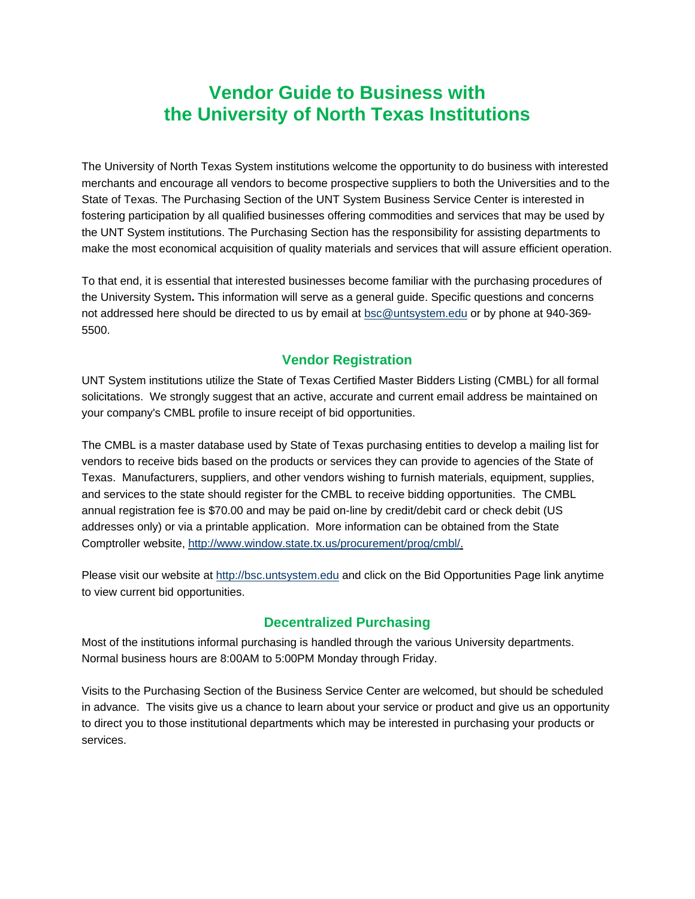# **Vendor Guide to Business with the University of North Texas Institutions**

The University of North Texas System institutions welcome the opportunity to do business with interested merchants and encourage all vendors to become prospective suppliers to both the Universities and to the State of Texas. The Purchasing Section of the UNT System Business Service Center is interested in fostering participation by all qualified businesses offering commodities and services that may be used by the UNT System institutions. The Purchasing Section has the responsibility for assisting departments to make the most economical acquisition of quality materials and services that will assure efficient operation.

To that end, it is essential that interested businesses become familiar with the purchasing procedures of the University System**.** This information will serve as a general guide. Specific questions and concerns not addressed here should be directed to us by email at bsc@untsystem.edu or by phone at 940-369- 5500.

#### **Vendor Registration**

UNT System institutions utilize the State of Texas Certified Master Bidders Listing (CMBL) for all formal solicitations. We strongly suggest that an active, accurate and current email address be maintained on your company's CMBL profile to insure receipt of bid opportunities.

The CMBL is a master database used by State of Texas purchasing entities to develop a mailing list for vendors to receive bids based on the products or services they can provide to agencies of the State of Texas. Manufacturers, suppliers, and other vendors wishing to furnish materials, equipment, supplies, and services to the state should register for the CMBL to receive bidding opportunities. The CMBL annual registration fee is \$70.00 and may be paid on-line by credit/debit card or check debit (US addresses only) or via a printable application. More information can be obtained from the State Comptroller website, http://www.window.state.tx.us/procurement/prog/cmbl/.

Please visit our website at http://bsc.untsystem.edu and click on the Bid Opportunities Page link anytime to view current bid opportunities.

#### **Decentralized Purchasing**

Most of the institutions informal purchasing is handled through the various University departments. Normal business hours are 8:00AM to 5:00PM Monday through Friday.

Visits to the Purchasing Section of the Business Service Center are welcomed, but should be scheduled in advance. The visits give us a chance to learn about your service or product and give us an opportunity to direct you to those institutional departments which may be interested in purchasing your products or services.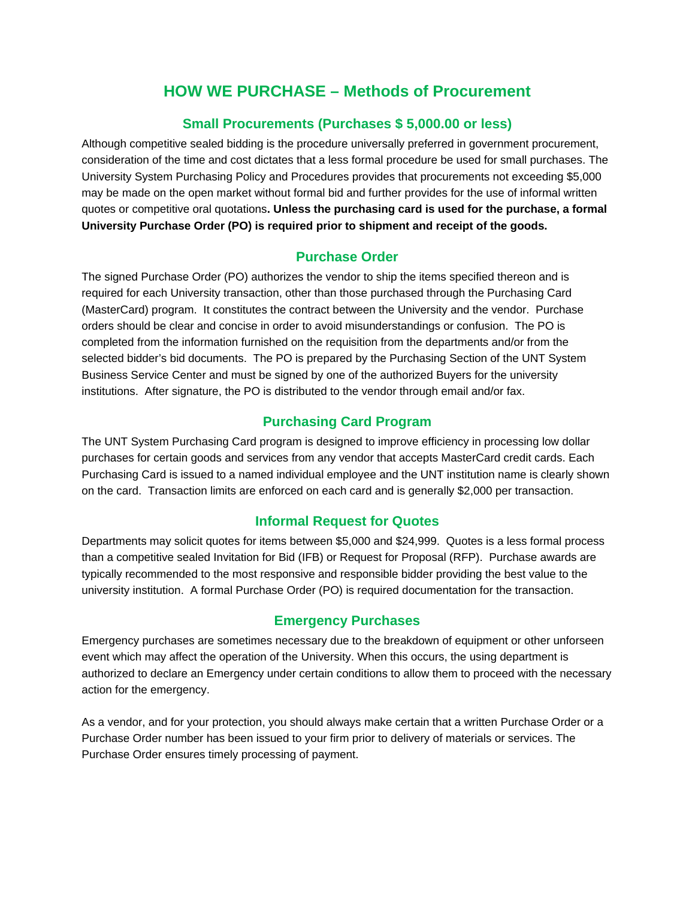## **HOW WE PURCHASE – Methods of Procurement**

## **Small Procurements (Purchases \$ 5,000.00 or less)**

Although competitive sealed bidding is the procedure universally preferred in government procurement, consideration of the time and cost dictates that a less formal procedure be used for small purchases. The University System Purchasing Policy and Procedures provides that procurements not exceeding \$5,000 may be made on the open market without formal bid and further provides for the use of informal written quotes or competitive oral quotations**. Unless the purchasing card is used for the purchase, a formal University Purchase Order (PO) is required prior to shipment and receipt of the goods.**

## **Purchase Order**

The signed Purchase Order (PO) authorizes the vendor to ship the items specified thereon and is required for each University transaction, other than those purchased through the Purchasing Card (MasterCard) program. It constitutes the contract between the University and the vendor. Purchase orders should be clear and concise in order to avoid misunderstandings or confusion. The PO is completed from the information furnished on the requisition from the departments and/or from the selected bidder's bid documents. The PO is prepared by the Purchasing Section of the UNT System Business Service Center and must be signed by one of the authorized Buyers for the university institutions. After signature, the PO is distributed to the vendor through email and/or fax.

## **Purchasing Card Program**

The UNT System Purchasing Card program is designed to improve efficiency in processing low dollar purchases for certain goods and services from any vendor that accepts MasterCard credit cards. Each Purchasing Card is issued to a named individual employee and the UNT institution name is clearly shown on the card. Transaction limits are enforced on each card and is generally \$2,000 per transaction.

#### **Informal Request for Quotes**

Departments may solicit quotes for items between \$5,000 and \$24,999. Quotes is a less formal process than a competitive sealed Invitation for Bid (IFB) or Request for Proposal (RFP). Purchase awards are typically recommended to the most responsive and responsible bidder providing the best value to the university institution. A formal Purchase Order (PO) is required documentation for the transaction.

## **Emergency Purchases**

Emergency purchases are sometimes necessary due to the breakdown of equipment or other unforseen event which may affect the operation of the University. When this occurs, the using department is authorized to declare an Emergency under certain conditions to allow them to proceed with the necessary action for the emergency.

As a vendor, and for your protection, you should always make certain that a written Purchase Order or a Purchase Order number has been issued to your firm prior to delivery of materials or services. The Purchase Order ensures timely processing of payment.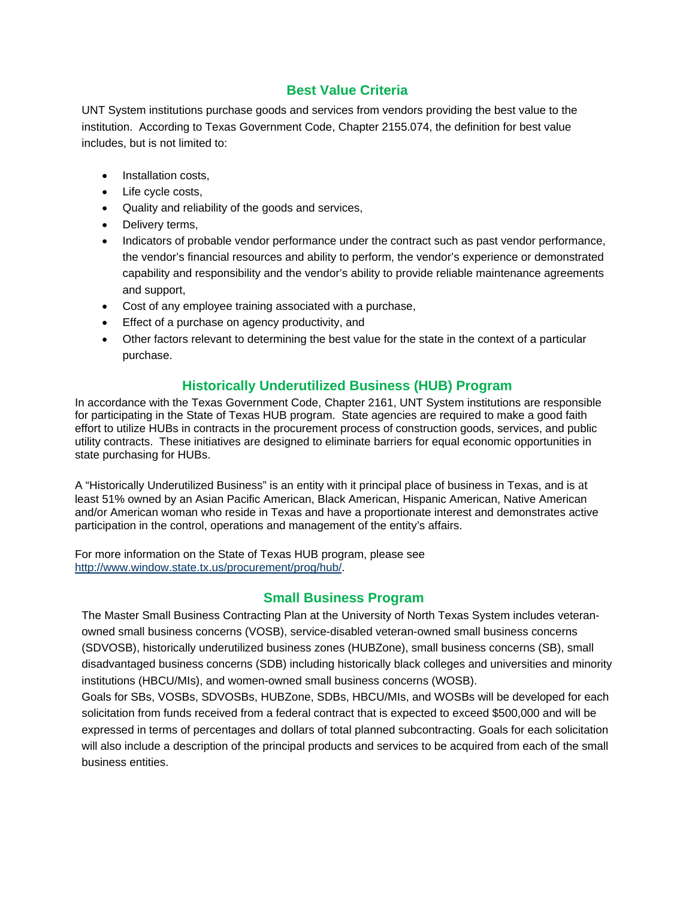## **Best Value Criteria**

UNT System institutions purchase goods and services from vendors providing the best value to the institution. According to Texas Government Code, Chapter 2155.074, the definition for best value includes, but is not limited to:

- Installation costs,
- Life cycle costs,
- Quality and reliability of the goods and services,
- Delivery terms,
- Indicators of probable vendor performance under the contract such as past vendor performance, the vendor's financial resources and ability to perform, the vendor's experience or demonstrated capability and responsibility and the vendor's ability to provide reliable maintenance agreements and support,
- Cost of any employee training associated with a purchase,
- **Effect of a purchase on agency productivity, and**
- Other factors relevant to determining the best value for the state in the context of a particular purchase.

## **Historically Underutilized Business (HUB) Program**

In accordance with the Texas Government Code, Chapter 2161, UNT System institutions are responsible for participating in the State of Texas HUB program. State agencies are required to make a good faith effort to utilize HUBs in contracts in the procurement process of construction goods, services, and public utility contracts. These initiatives are designed to eliminate barriers for equal economic opportunities in state purchasing for HUBs.

A "Historically Underutilized Business" is an entity with it principal place of business in Texas, and is at least 51% owned by an Asian Pacific American, Black American, Hispanic American, Native American and/or American woman who reside in Texas and have a proportionate interest and demonstrates active participation in the control, operations and management of the entity's affairs.

For more information on the State of Texas HUB program, please see http://www.window.state.tx.us/procurement/prog/hub/.

#### **Small Business Program**

The Master Small Business Contracting Plan at the University of North Texas System includes veteranowned small business concerns (VOSB), service-disabled veteran-owned small business concerns (SDVOSB), historically underutilized business zones (HUBZone), small business concerns (SB), small disadvantaged business concerns (SDB) including historically black colleges and universities and minority institutions (HBCU/MIs), and women-owned small business concerns (WOSB).

Goals for SBs, VOSBs, SDVOSBs, HUBZone, SDBs, HBCU/MIs, and WOSBs will be developed for each solicitation from funds received from a federal contract that is expected to exceed \$500,000 and will be expressed in terms of percentages and dollars of total planned subcontracting. Goals for each solicitation will also include a description of the principal products and services to be acquired from each of the small business entities.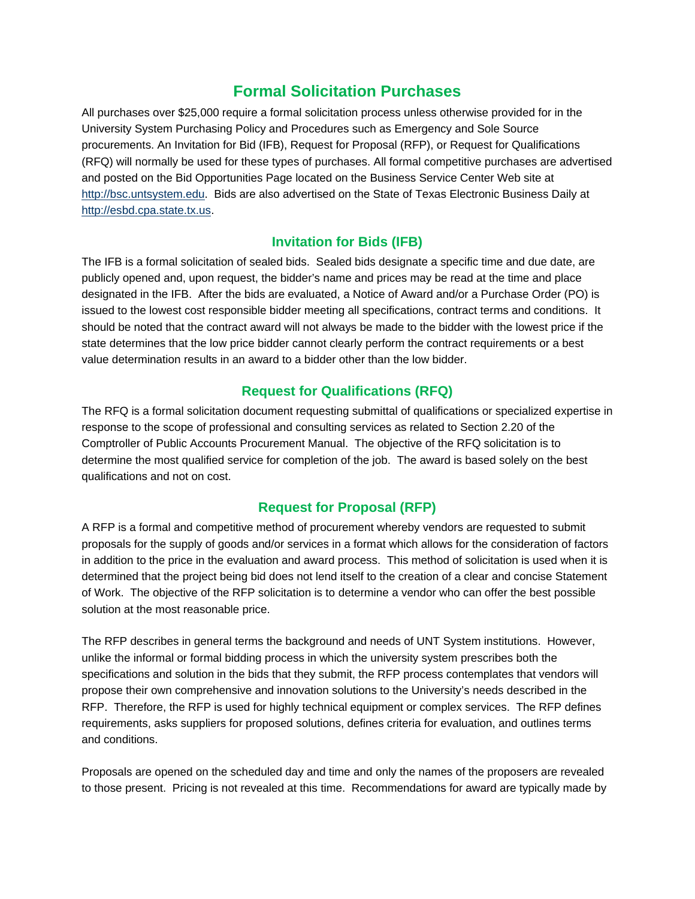## **Formal Solicitation Purchases**

All purchases over \$25,000 require a formal solicitation process unless otherwise provided for in the University System Purchasing Policy and Procedures such as Emergency and Sole Source procurements. An Invitation for Bid (IFB), Request for Proposal (RFP), or Request for Qualifications (RFQ) will normally be used for these types of purchases. All formal competitive purchases are advertised and posted on the Bid Opportunities Page located on the Business Service Center Web site at http://bsc.untsystem.edu. Bids are also advertised on the State of Texas Electronic Business Daily at http://esbd.cpa.state.tx.us.

## **Invitation for Bids (IFB)**

The IFB is a formal solicitation of sealed bids. Sealed bids designate a specific time and due date, are publicly opened and, upon request, the bidder's name and prices may be read at the time and place designated in the IFB. After the bids are evaluated, a Notice of Award and/or a Purchase Order (PO) is issued to the lowest cost responsible bidder meeting all specifications, contract terms and conditions. It should be noted that the contract award will not always be made to the bidder with the lowest price if the state determines that the low price bidder cannot clearly perform the contract requirements or a best value determination results in an award to a bidder other than the low bidder.

## **Request for Qualifications (RFQ)**

The RFQ is a formal solicitation document requesting submittal of qualifications or specialized expertise in response to the scope of professional and consulting services as related to Section 2.20 of the Comptroller of Public Accounts Procurement Manual. The objective of the RFQ solicitation is to determine the most qualified service for completion of the job. The award is based solely on the best qualifications and not on cost.

## **Request for Proposal (RFP)**

A RFP is a formal and competitive method of procurement whereby vendors are requested to submit proposals for the supply of goods and/or services in a format which allows for the consideration of factors in addition to the price in the evaluation and award process. This method of solicitation is used when it is determined that the project being bid does not lend itself to the creation of a clear and concise Statement of Work. The objective of the RFP solicitation is to determine a vendor who can offer the best possible solution at the most reasonable price.

The RFP describes in general terms the background and needs of UNT System institutions. However, unlike the informal or formal bidding process in which the university system prescribes both the specifications and solution in the bids that they submit, the RFP process contemplates that vendors will propose their own comprehensive and innovation solutions to the University's needs described in the RFP. Therefore, the RFP is used for highly technical equipment or complex services. The RFP defines requirements, asks suppliers for proposed solutions, defines criteria for evaluation, and outlines terms and conditions.

Proposals are opened on the scheduled day and time and only the names of the proposers are revealed to those present. Pricing is not revealed at this time. Recommendations for award are typically made by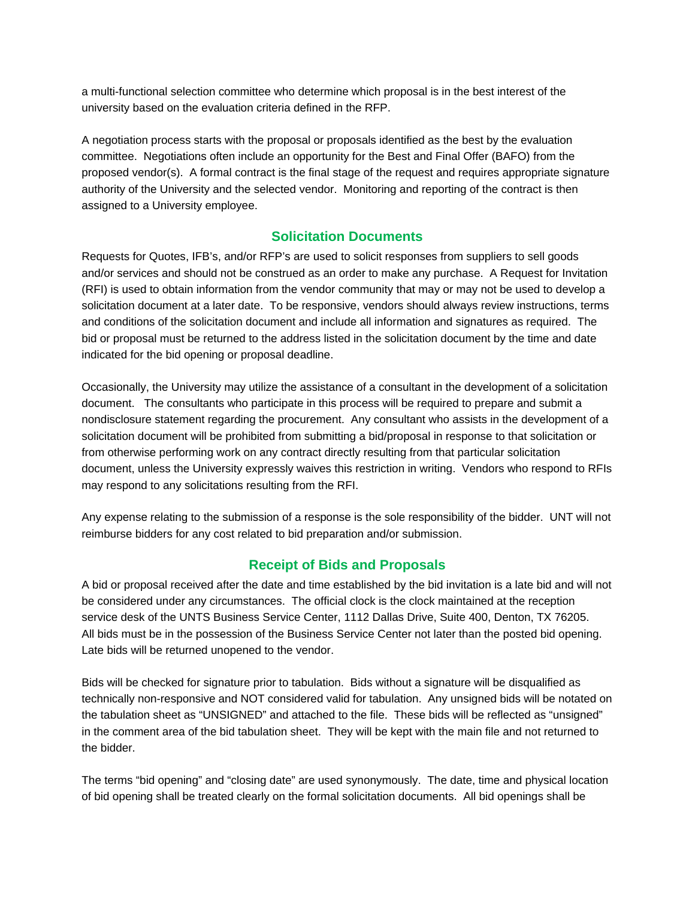a multi-functional selection committee who determine which proposal is in the best interest of the university based on the evaluation criteria defined in the RFP.

A negotiation process starts with the proposal or proposals identified as the best by the evaluation committee. Negotiations often include an opportunity for the Best and Final Offer (BAFO) from the proposed vendor(s). A formal contract is the final stage of the request and requires appropriate signature authority of the University and the selected vendor. Monitoring and reporting of the contract is then assigned to a University employee.

#### **Solicitation Documents**

Requests for Quotes, IFB's, and/or RFP's are used to solicit responses from suppliers to sell goods and/or services and should not be construed as an order to make any purchase. A Request for Invitation (RFI) is used to obtain information from the vendor community that may or may not be used to develop a solicitation document at a later date. To be responsive, vendors should always review instructions, terms and conditions of the solicitation document and include all information and signatures as required. The bid or proposal must be returned to the address listed in the solicitation document by the time and date indicated for the bid opening or proposal deadline.

Occasionally, the University may utilize the assistance of a consultant in the development of a solicitation document. The consultants who participate in this process will be required to prepare and submit a nondisclosure statement regarding the procurement. Any consultant who assists in the development of a solicitation document will be prohibited from submitting a bid/proposal in response to that solicitation or from otherwise performing work on any contract directly resulting from that particular solicitation document, unless the University expressly waives this restriction in writing. Vendors who respond to RFIs may respond to any solicitations resulting from the RFI.

Any expense relating to the submission of a response is the sole responsibility of the bidder. UNT will not reimburse bidders for any cost related to bid preparation and/or submission.

#### **Receipt of Bids and Proposals**

A bid or proposal received after the date and time established by the bid invitation is a late bid and will not be considered under any circumstances. The official clock is the clock maintained at the reception service desk of the UNTS Business Service Center, 1112 Dallas Drive, Suite 400, Denton, TX 76205. All bids must be in the possession of the Business Service Center not later than the posted bid opening. Late bids will be returned unopened to the vendor.

Bids will be checked for signature prior to tabulation. Bids without a signature will be disqualified as technically non-responsive and NOT considered valid for tabulation. Any unsigned bids will be notated on the tabulation sheet as "UNSIGNED" and attached to the file. These bids will be reflected as "unsigned" in the comment area of the bid tabulation sheet. They will be kept with the main file and not returned to the bidder.

The terms "bid opening" and "closing date" are used synonymously. The date, time and physical location of bid opening shall be treated clearly on the formal solicitation documents. All bid openings shall be